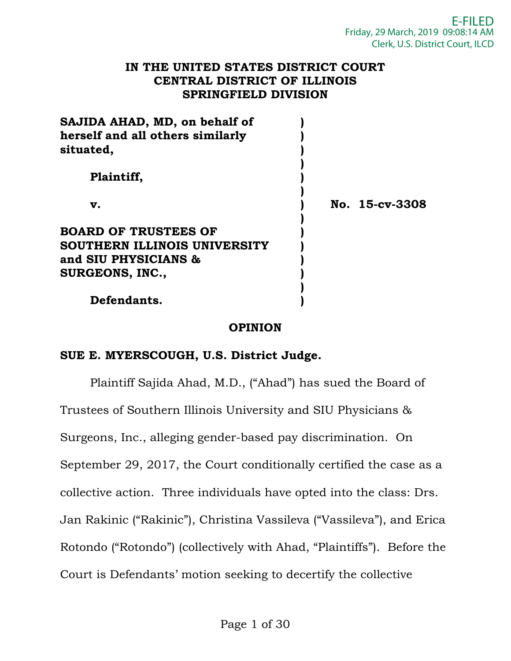#### **IN THE UNITED STATES DISTRICT COURT CENTRAL DISTRICT OF ILLINOIS SPRINGFIELD DIVISION**

| SAJIDA AHAD, MD, on behalf of<br>herself and all others similarly<br>situated, |                |
|--------------------------------------------------------------------------------|----------------|
| Plaintiff,                                                                     |                |
| v.                                                                             | No. 15-cv-3308 |
| <b>BOARD OF TRUSTEES OF</b>                                                    |                |
| SOUTHERN ILLINOIS UNIVERSITY                                                   |                |
| and SIU PHYSICIANS &                                                           |                |
| SURGEONS, INC.,                                                                |                |
| Defendants.                                                                    |                |

# **OPINION**

# **SUE E. MYERSCOUGH, U.S. District Judge.**

 Plaintiff Sajida Ahad, M.D., ("Ahad") has sued the Board of Trustees of Southern Illinois University and SIU Physicians & Surgeons, Inc., alleging gender-based pay discrimination. On September 29, 2017, the Court conditionally certified the case as a collective action. Three individuals have opted into the class: Drs. Jan Rakinic ("Rakinic"), Christina Vassileva ("Vassileva"), and Erica Rotondo ("Rotondo") (collectively with Ahad, "Plaintiffs"). Before the Court is Defendants' motion seeking to decertify the collective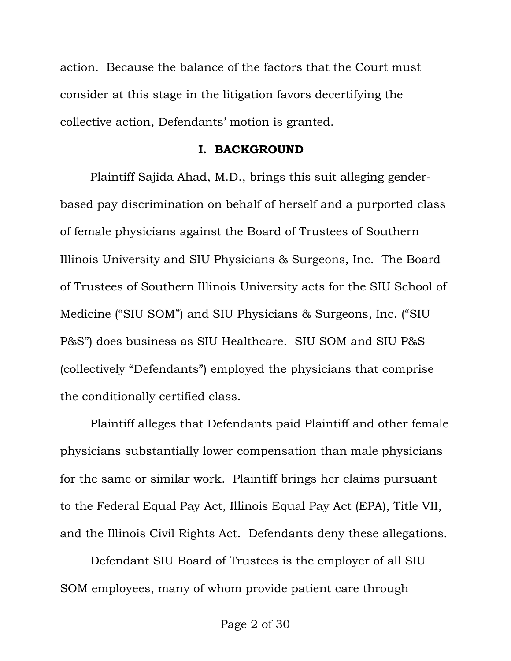action. Because the balance of the factors that the Court must consider at this stage in the litigation favors decertifying the collective action, Defendants' motion is granted.

#### **I. BACKGROUND**

Plaintiff Sajida Ahad, M.D., brings this suit alleging genderbased pay discrimination on behalf of herself and a purported class of female physicians against the Board of Trustees of Southern Illinois University and SIU Physicians & Surgeons, Inc. The Board of Trustees of Southern Illinois University acts for the SIU School of Medicine ("SIU SOM") and SIU Physicians & Surgeons, Inc. ("SIU P&S") does business as SIU Healthcare. SIU SOM and SIU P&S (collectively "Defendants") employed the physicians that comprise the conditionally certified class.

Plaintiff alleges that Defendants paid Plaintiff and other female physicians substantially lower compensation than male physicians for the same or similar work. Plaintiff brings her claims pursuant to the Federal Equal Pay Act, Illinois Equal Pay Act (EPA), Title VII, and the Illinois Civil Rights Act. Defendants deny these allegations.

 Defendant SIU Board of Trustees is the employer of all SIU SOM employees, many of whom provide patient care through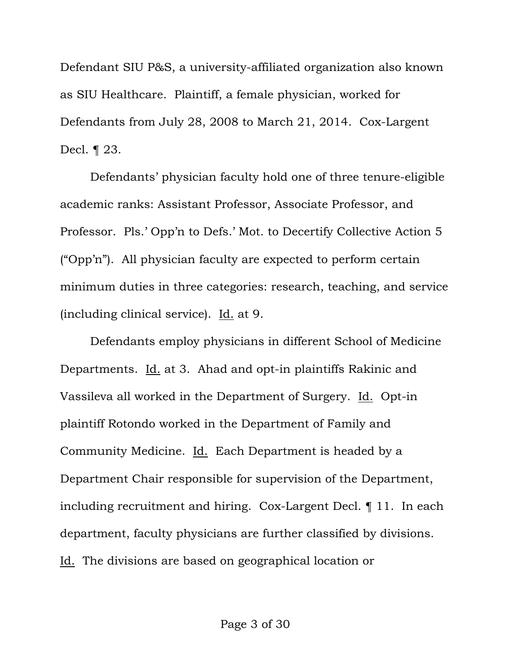Defendant SIU P&S, a university-affiliated organization also known as SIU Healthcare. Plaintiff, a female physician, worked for Defendants from July 28, 2008 to March 21, 2014. Cox-Largent Decl. ¶ 23.

 Defendants' physician faculty hold one of three tenure-eligible academic ranks: Assistant Professor, Associate Professor, and Professor. Pls.' Opp'n to Defs.' Mot. to Decertify Collective Action 5 ("Opp'n"). All physician faculty are expected to perform certain minimum duties in three categories: research, teaching, and service (including clinical service). Id. at 9.

 Defendants employ physicians in different School of Medicine Departments. Id. at 3. Ahad and opt-in plaintiffs Rakinic and Vassileva all worked in the Department of Surgery. Id. Opt-in plaintiff Rotondo worked in the Department of Family and Community Medicine. Id. Each Department is headed by a Department Chair responsible for supervision of the Department, including recruitment and hiring. Cox-Largent Decl. ¶ 11. In each department, faculty physicians are further classified by divisions. Id. The divisions are based on geographical location or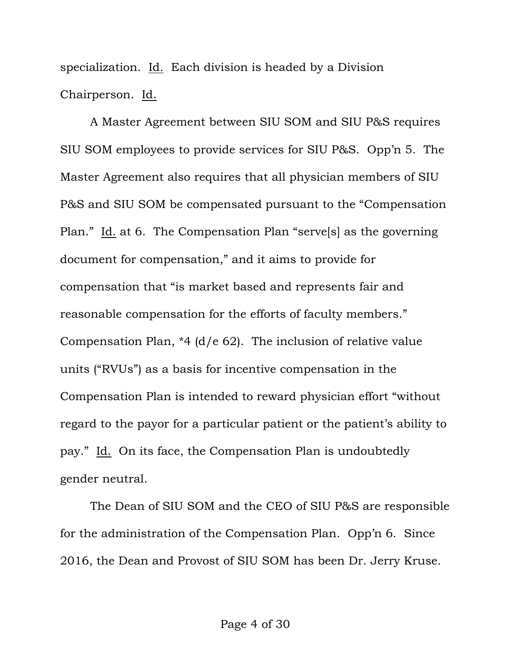specialization. Id. Each division is headed by a Division Chairperson. Id.

 A Master Agreement between SIU SOM and SIU P&S requires SIU SOM employees to provide services for SIU P&S. Opp'n 5. The Master Agreement also requires that all physician members of SIU P&S and SIU SOM be compensated pursuant to the "Compensation Plan." Id. at 6. The Compensation Plan "serve<sup>[s]</sup> as the governing document for compensation," and it aims to provide for compensation that "is market based and represents fair and reasonable compensation for the efforts of faculty members." Compensation Plan, \*4 (d/e 62). The inclusion of relative value units ("RVUs") as a basis for incentive compensation in the Compensation Plan is intended to reward physician effort "without regard to the payor for a particular patient or the patient's ability to pay." Id. On its face, the Compensation Plan is undoubtedly gender neutral.

 The Dean of SIU SOM and the CEO of SIU P&S are responsible for the administration of the Compensation Plan. Opp'n 6. Since 2016, the Dean and Provost of SIU SOM has been Dr. Jerry Kruse.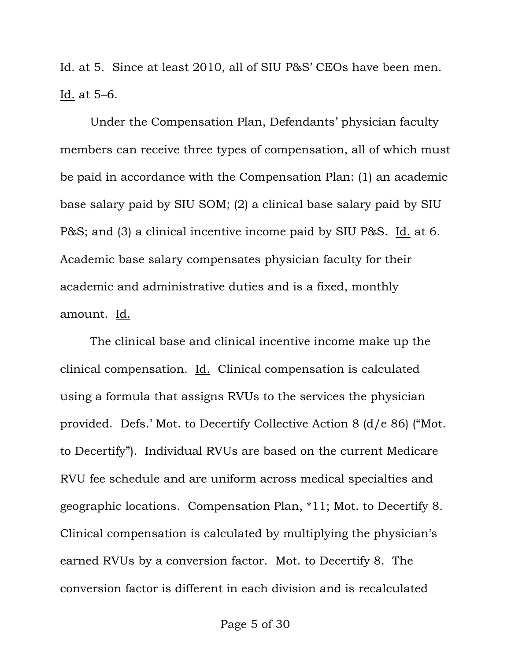Id. at 5. Since at least 2010, all of SIU P&S' CEOs have been men. Id. at 5–6.

 Under the Compensation Plan, Defendants' physician faculty members can receive three types of compensation, all of which must be paid in accordance with the Compensation Plan: (1) an academic base salary paid by SIU SOM; (2) a clinical base salary paid by SIU P&S; and (3) a clinical incentive income paid by SIU P&S. Id. at 6. Academic base salary compensates physician faculty for their academic and administrative duties and is a fixed, monthly amount. Id.

 The clinical base and clinical incentive income make up the clinical compensation. Id. Clinical compensation is calculated using a formula that assigns RVUs to the services the physician provided. Defs.' Mot. to Decertify Collective Action 8 (d/e 86) ("Mot. to Decertify"). Individual RVUs are based on the current Medicare RVU fee schedule and are uniform across medical specialties and geographic locations. Compensation Plan, \*11; Mot. to Decertify 8. Clinical compensation is calculated by multiplying the physician's earned RVUs by a conversion factor. Mot. to Decertify 8. The conversion factor is different in each division and is recalculated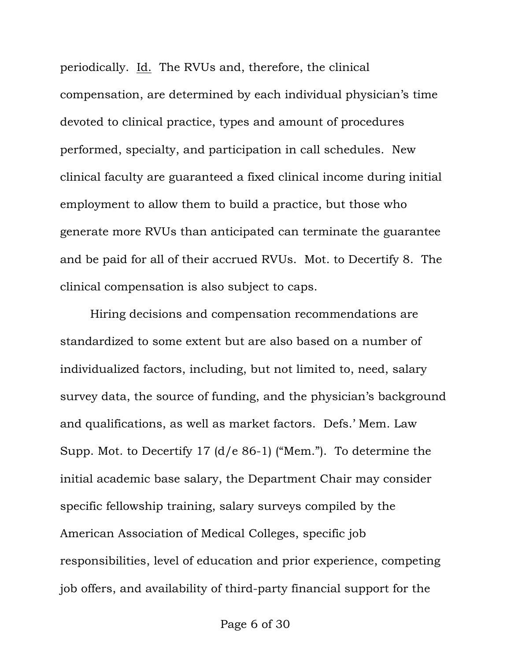periodically. Id. The RVUs and, therefore, the clinical compensation, are determined by each individual physician's time devoted to clinical practice, types and amount of procedures performed, specialty, and participation in call schedules. New clinical faculty are guaranteed a fixed clinical income during initial employment to allow them to build a practice, but those who generate more RVUs than anticipated can terminate the guarantee and be paid for all of their accrued RVUs. Mot. to Decertify 8. The clinical compensation is also subject to caps.

 Hiring decisions and compensation recommendations are standardized to some extent but are also based on a number of individualized factors, including, but not limited to, need, salary survey data, the source of funding, and the physician's background and qualifications, as well as market factors. Defs.' Mem. Law Supp. Mot. to Decertify 17 (d/e 86-1) ("Mem."). To determine the initial academic base salary, the Department Chair may consider specific fellowship training, salary surveys compiled by the American Association of Medical Colleges, specific job responsibilities, level of education and prior experience, competing job offers, and availability of third-party financial support for the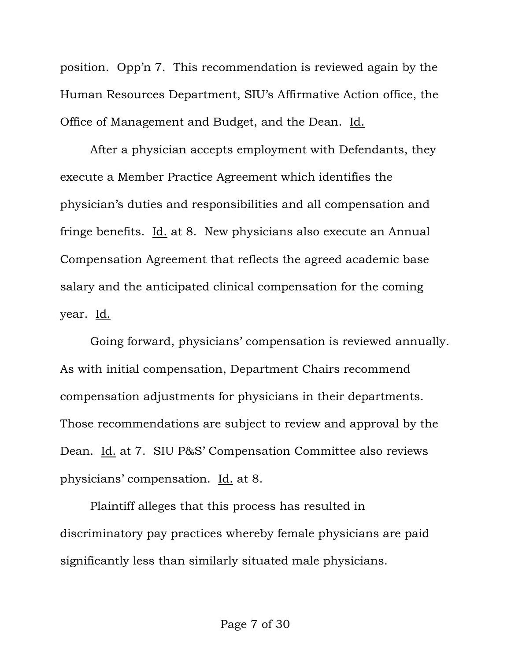position. Opp'n 7. This recommendation is reviewed again by the Human Resources Department, SIU's Affirmative Action office, the Office of Management and Budget, and the Dean. Id.

 After a physician accepts employment with Defendants, they execute a Member Practice Agreement which identifies the physician's duties and responsibilities and all compensation and fringe benefits. Id. at 8. New physicians also execute an Annual Compensation Agreement that reflects the agreed academic base salary and the anticipated clinical compensation for the coming year. Id.

 Going forward, physicians' compensation is reviewed annually. As with initial compensation, Department Chairs recommend compensation adjustments for physicians in their departments. Those recommendations are subject to review and approval by the Dean. Id. at 7. SIU P&S' Compensation Committee also reviews physicians' compensation. Id. at 8.

 Plaintiff alleges that this process has resulted in discriminatory pay practices whereby female physicians are paid significantly less than similarly situated male physicians.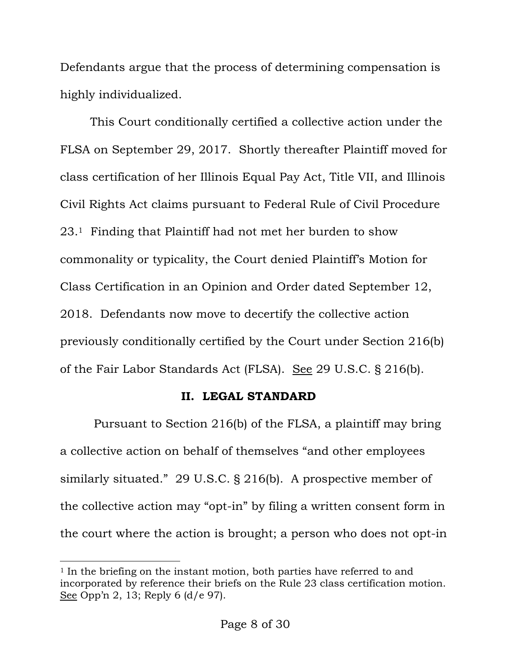Defendants argue that the process of determining compensation is highly individualized.

This Court conditionally certified a collective action under the FLSA on September 29, 2017. Shortly thereafter Plaintiff moved for class certification of her Illinois Equal Pay Act, Title VII, and Illinois Civil Rights Act claims pursuant to Federal Rule of Civil Procedure 23.1 Finding that Plaintiff had not met her burden to show commonality or typicality, the Court denied Plaintiff's Motion for Class Certification in an Opinion and Order dated September 12, 2018. Defendants now move to decertify the collective action previously conditionally certified by the Court under Section 216(b) of the Fair Labor Standards Act (FLSA). See 29 U.S.C. § 216(b).

# **II. LEGAL STANDARD**

 Pursuant to Section 216(b) of the FLSA, a plaintiff may bring a collective action on behalf of themselves "and other employees similarly situated." 29 U.S.C. § 216(b). A prospective member of the collective action may "opt-in" by filing a written consent form in the court where the action is brought; a person who does not opt-in

 $\overline{a}$ 

<sup>&</sup>lt;sup>1</sup> In the briefing on the instant motion, both parties have referred to and incorporated by reference their briefs on the Rule 23 class certification motion. See Opp'n 2, 13; Reply 6 (d/e 97).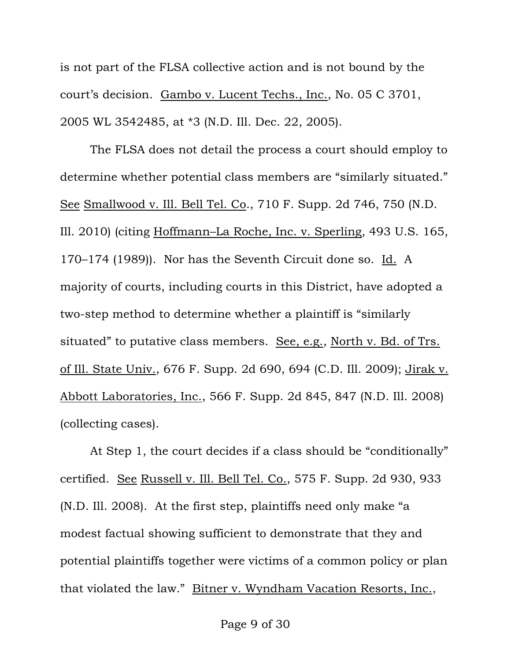is not part of the FLSA collective action and is not bound by the court's decision. Gambo v. Lucent Techs., Inc., No. 05 C 3701, 2005 WL 3542485, at \*3 (N.D. Ill. Dec. 22, 2005).

The FLSA does not detail the process a court should employ to determine whether potential class members are "similarly situated." See Smallwood v. Ill. Bell Tel. Co., 710 F. Supp. 2d 746, 750 (N.D. Ill. 2010) (citing Hoffmann–La Roche, Inc. v. Sperling, 493 U.S. 165, 170–174 (1989)). Nor has the Seventh Circuit done so. Id. A majority of courts, including courts in this District, have adopted a two-step method to determine whether a plaintiff is "similarly situated" to putative class members. See, e.g., North v. Bd. of Trs. of Ill. State Univ., 676 F. Supp. 2d 690, 694 (C.D. Ill. 2009); Jirak v. Abbott Laboratories, Inc., 566 F. Supp. 2d 845, 847 (N.D. Ill. 2008) (collecting cases).

At Step 1, the court decides if a class should be "conditionally" certified. See Russell v. Ill. Bell Tel. Co., 575 F. Supp. 2d 930, 933 (N.D. Ill. 2008). At the first step, plaintiffs need only make "a modest factual showing sufficient to demonstrate that they and potential plaintiffs together were victims of a common policy or plan that violated the law." Bitner v. Wyndham Vacation Resorts, Inc.,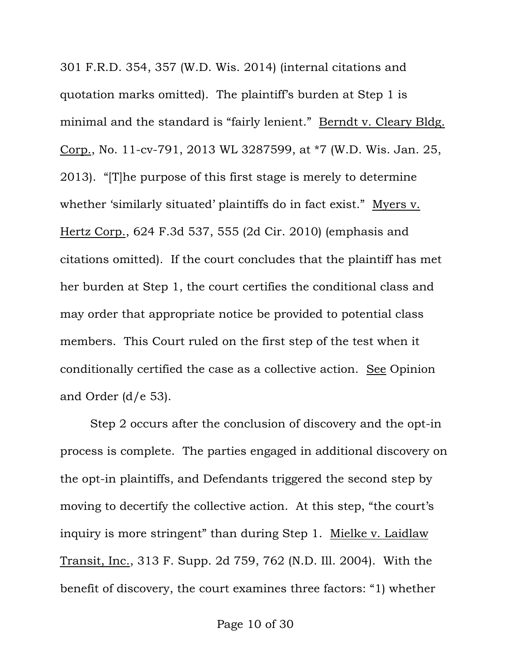301 F.R.D. 354, 357 (W.D. Wis. 2014) (internal citations and quotation marks omitted). The plaintiff's burden at Step 1 is minimal and the standard is "fairly lenient." Berndt v. Cleary Bldg. Corp., No. 11-cv-791, 2013 WL 3287599, at \*7 (W.D. Wis. Jan. 25, 2013). "[T]he purpose of this first stage is merely to determine whether 'similarly situated' plaintiffs do in fact exist." Myers v. Hertz Corp., 624 F.3d 537, 555 (2d Cir. 2010) (emphasis and citations omitted). If the court concludes that the plaintiff has met her burden at Step 1, the court certifies the conditional class and may order that appropriate notice be provided to potential class members. This Court ruled on the first step of the test when it conditionally certified the case as a collective action. See Opinion and Order  $(d/e 53)$ .

Step 2 occurs after the conclusion of discovery and the opt-in process is complete. The parties engaged in additional discovery on the opt-in plaintiffs, and Defendants triggered the second step by moving to decertify the collective action. At this step, "the court's inquiry is more stringent" than during Step 1. Mielke v. Laidlaw Transit, Inc., 313 F. Supp. 2d 759, 762 (N.D. Ill. 2004). With the benefit of discovery, the court examines three factors: "1) whether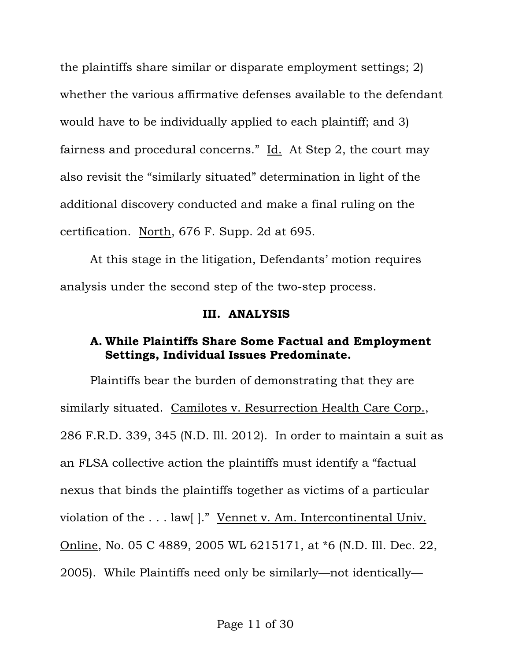the plaintiffs share similar or disparate employment settings; 2) whether the various affirmative defenses available to the defendant would have to be individually applied to each plaintiff; and 3) fairness and procedural concerns." Id. At Step 2, the court may also revisit the "similarly situated" determination in light of the additional discovery conducted and make a final ruling on the certification. North, 676 F. Supp. 2d at 695.

At this stage in the litigation, Defendants' motion requires analysis under the second step of the two-step process.

#### **III. ANALYSIS**

## **A. While Plaintiffs Share Some Factual and Employment Settings, Individual Issues Predominate.**

Plaintiffs bear the burden of demonstrating that they are similarly situated. Camilotes v. Resurrection Health Care Corp., 286 F.R.D. 339, 345 (N.D. Ill. 2012). In order to maintain a suit as an FLSA collective action the plaintiffs must identify a "factual nexus that binds the plaintiffs together as victims of a particular violation of the . . . law[ ]." Vennet v. Am. Intercontinental Univ. Online, No. 05 C 4889, 2005 WL 6215171, at \*6 (N.D. Ill. Dec. 22, 2005). While Plaintiffs need only be similarly—not identically—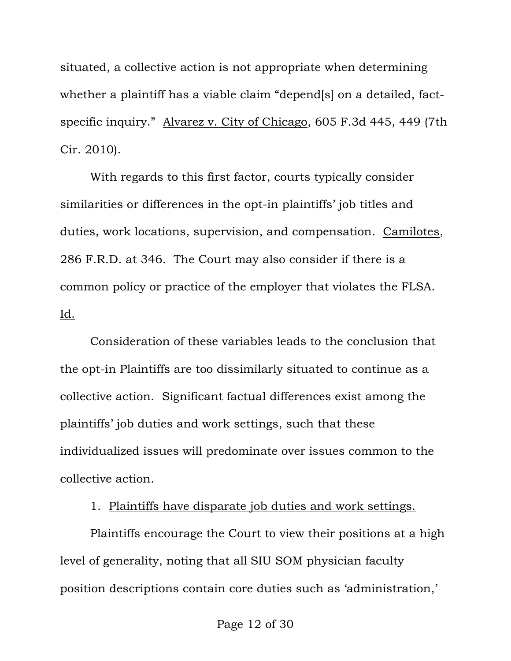situated, a collective action is not appropriate when determining whether a plaintiff has a viable claim "depend[s] on a detailed, factspecific inquiry." Alvarez v. City of Chicago, 605 F.3d 445, 449 (7th Cir. 2010).

With regards to this first factor, courts typically consider similarities or differences in the opt-in plaintiffs' job titles and duties, work locations, supervision, and compensation. Camilotes, 286 F.R.D. at 346. The Court may also consider if there is a common policy or practice of the employer that violates the FLSA. Id.

Consideration of these variables leads to the conclusion that the opt-in Plaintiffs are too dissimilarly situated to continue as a collective action. Significant factual differences exist among the plaintiffs' job duties and work settings, such that these individualized issues will predominate over issues common to the collective action.

1. Plaintiffs have disparate job duties and work settings.

Plaintiffs encourage the Court to view their positions at a high level of generality, noting that all SIU SOM physician faculty position descriptions contain core duties such as 'administration,'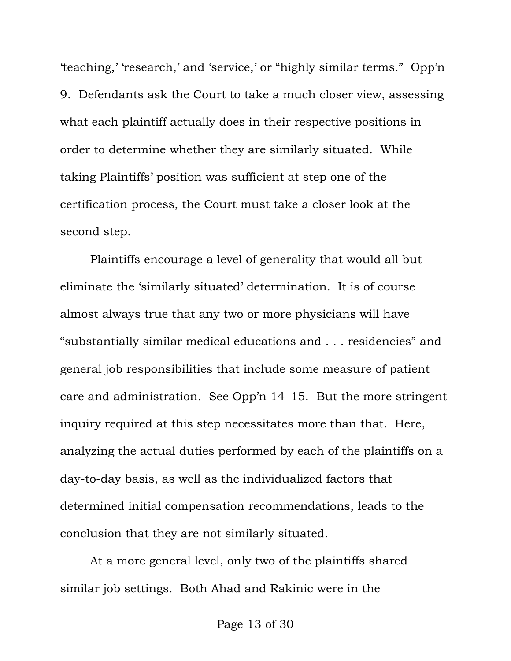'teaching,' 'research,' and 'service,' or "highly similar terms." Opp'n 9. Defendants ask the Court to take a much closer view, assessing what each plaintiff actually does in their respective positions in order to determine whether they are similarly situated. While taking Plaintiffs' position was sufficient at step one of the certification process, the Court must take a closer look at the second step.

Plaintiffs encourage a level of generality that would all but eliminate the 'similarly situated' determination. It is of course almost always true that any two or more physicians will have "substantially similar medical educations and . . . residencies" and general job responsibilities that include some measure of patient care and administration. See Opp'n 14–15. But the more stringent inquiry required at this step necessitates more than that. Here, analyzing the actual duties performed by each of the plaintiffs on a day-to-day basis, as well as the individualized factors that determined initial compensation recommendations, leads to the conclusion that they are not similarly situated.

At a more general level, only two of the plaintiffs shared similar job settings. Both Ahad and Rakinic were in the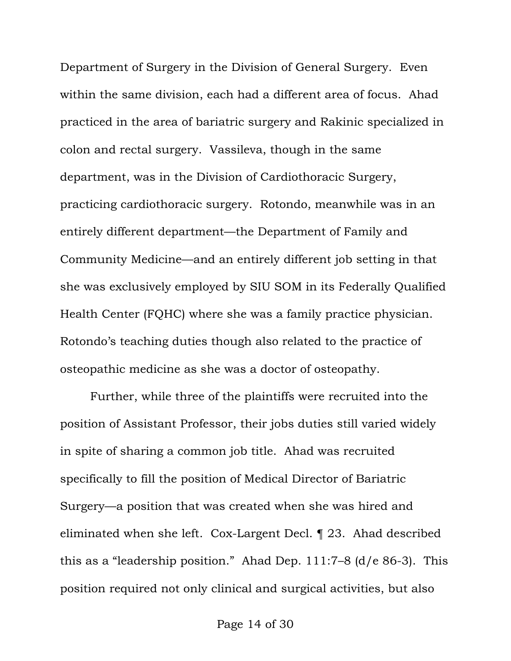Department of Surgery in the Division of General Surgery. Even within the same division, each had a different area of focus. Ahad practiced in the area of bariatric surgery and Rakinic specialized in colon and rectal surgery. Vassileva, though in the same department, was in the Division of Cardiothoracic Surgery, practicing cardiothoracic surgery. Rotondo, meanwhile was in an entirely different department—the Department of Family and Community Medicine—and an entirely different job setting in that she was exclusively employed by SIU SOM in its Federally Qualified Health Center (FQHC) where she was a family practice physician. Rotondo's teaching duties though also related to the practice of osteopathic medicine as she was a doctor of osteopathy.

Further, while three of the plaintiffs were recruited into the position of Assistant Professor, their jobs duties still varied widely in spite of sharing a common job title. Ahad was recruited specifically to fill the position of Medical Director of Bariatric Surgery—a position that was created when she was hired and eliminated when she left. Cox-Largent Decl. ¶ 23. Ahad described this as a "leadership position." Ahad Dep. 111:7–8 (d/e 86-3). This position required not only clinical and surgical activities, but also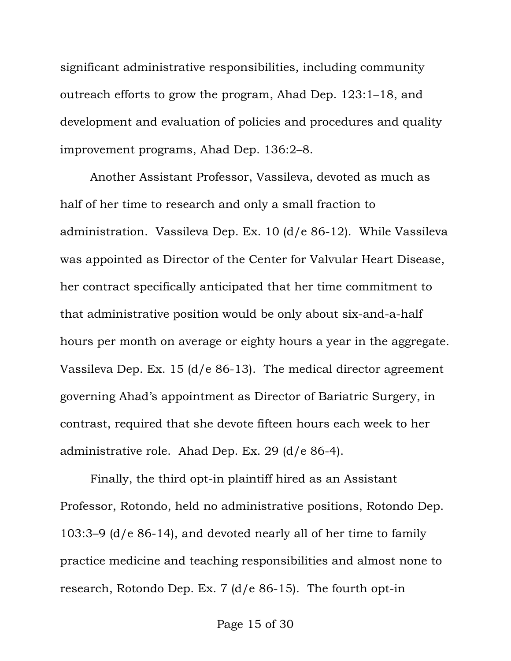significant administrative responsibilities, including community outreach efforts to grow the program, Ahad Dep. 123:1–18, and development and evaluation of policies and procedures and quality improvement programs, Ahad Dep. 136:2–8.

Another Assistant Professor, Vassileva, devoted as much as half of her time to research and only a small fraction to administration. Vassileva Dep. Ex. 10 (d/e 86-12). While Vassileva was appointed as Director of the Center for Valvular Heart Disease, her contract specifically anticipated that her time commitment to that administrative position would be only about six-and-a-half hours per month on average or eighty hours a year in the aggregate. Vassileva Dep. Ex. 15 (d/e 86-13). The medical director agreement governing Ahad's appointment as Director of Bariatric Surgery, in contrast, required that she devote fifteen hours each week to her administrative role. Ahad Dep. Ex. 29 (d/e 86-4).

Finally, the third opt-in plaintiff hired as an Assistant Professor, Rotondo, held no administrative positions, Rotondo Dep. 103:3–9 (d/e 86-14), and devoted nearly all of her time to family practice medicine and teaching responsibilities and almost none to research, Rotondo Dep. Ex. 7 (d/e 86-15). The fourth opt-in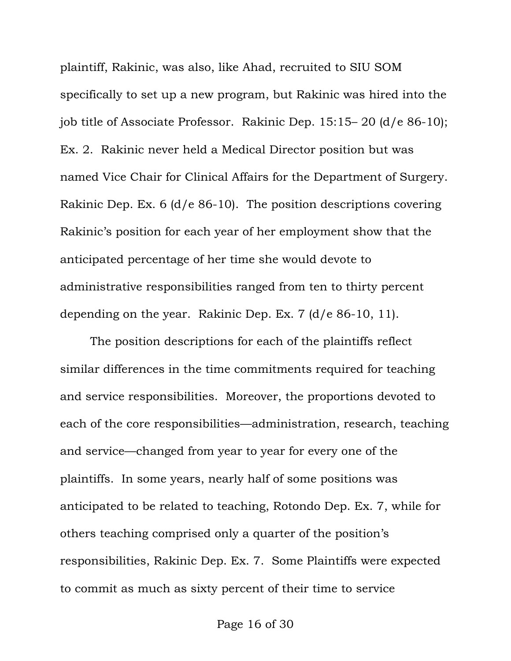plaintiff, Rakinic, was also, like Ahad, recruited to SIU SOM specifically to set up a new program, but Rakinic was hired into the job title of Associate Professor. Rakinic Dep. 15:15– 20 (d/e 86-10); Ex. 2. Rakinic never held a Medical Director position but was named Vice Chair for Clinical Affairs for the Department of Surgery. Rakinic Dep. Ex. 6 (d/e 86-10). The position descriptions covering Rakinic's position for each year of her employment show that the anticipated percentage of her time she would devote to administrative responsibilities ranged from ten to thirty percent depending on the year. Rakinic Dep. Ex. 7 (d/e 86-10, 11).

The position descriptions for each of the plaintiffs reflect similar differences in the time commitments required for teaching and service responsibilities. Moreover, the proportions devoted to each of the core responsibilities—administration, research, teaching and service—changed from year to year for every one of the plaintiffs. In some years, nearly half of some positions was anticipated to be related to teaching, Rotondo Dep. Ex. 7, while for others teaching comprised only a quarter of the position's responsibilities, Rakinic Dep. Ex. 7. Some Plaintiffs were expected to commit as much as sixty percent of their time to service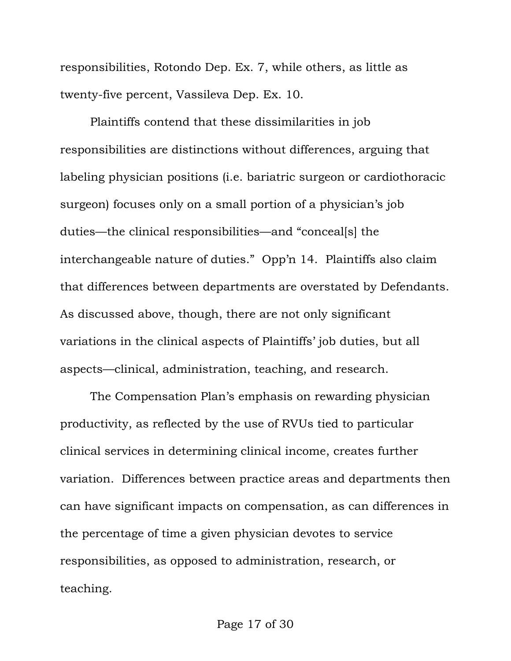responsibilities, Rotondo Dep. Ex. 7, while others, as little as twenty-five percent, Vassileva Dep. Ex. 10.

Plaintiffs contend that these dissimilarities in job responsibilities are distinctions without differences, arguing that labeling physician positions (i.e. bariatric surgeon or cardiothoracic surgeon) focuses only on a small portion of a physician's job duties—the clinical responsibilities—and "conceal[s] the interchangeable nature of duties." Opp'n 14. Plaintiffs also claim that differences between departments are overstated by Defendants. As discussed above, though, there are not only significant variations in the clinical aspects of Plaintiffs' job duties, but all aspects—clinical, administration, teaching, and research.

The Compensation Plan's emphasis on rewarding physician productivity, as reflected by the use of RVUs tied to particular clinical services in determining clinical income, creates further variation. Differences between practice areas and departments then can have significant impacts on compensation, as can differences in the percentage of time a given physician devotes to service responsibilities, as opposed to administration, research, or teaching.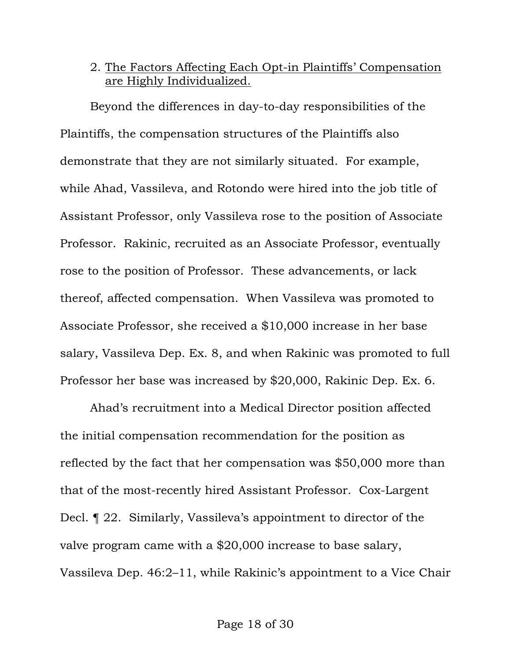# 2. The Factors Affecting Each Opt-in Plaintiffs' Compensation are Highly Individualized.

Beyond the differences in day-to-day responsibilities of the Plaintiffs, the compensation structures of the Plaintiffs also demonstrate that they are not similarly situated. For example, while Ahad, Vassileva, and Rotondo were hired into the job title of Assistant Professor, only Vassileva rose to the position of Associate Professor. Rakinic, recruited as an Associate Professor, eventually rose to the position of Professor. These advancements, or lack thereof, affected compensation. When Vassileva was promoted to Associate Professor, she received a \$10,000 increase in her base salary, Vassileva Dep. Ex. 8, and when Rakinic was promoted to full Professor her base was increased by \$20,000, Rakinic Dep. Ex. 6.

Ahad's recruitment into a Medical Director position affected the initial compensation recommendation for the position as reflected by the fact that her compensation was \$50,000 more than that of the most-recently hired Assistant Professor. Cox-Largent Decl. ¶ 22. Similarly, Vassileva's appointment to director of the valve program came with a \$20,000 increase to base salary, Vassileva Dep. 46:2–11, while Rakinic's appointment to a Vice Chair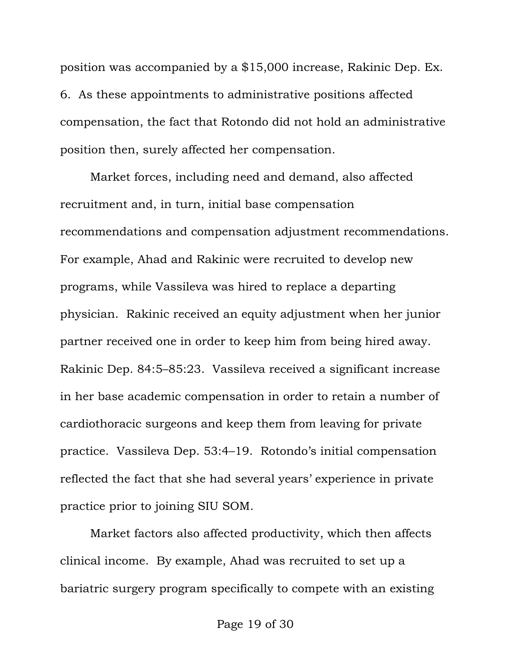position was accompanied by a \$15,000 increase, Rakinic Dep. Ex. 6. As these appointments to administrative positions affected compensation, the fact that Rotondo did not hold an administrative position then, surely affected her compensation.

Market forces, including need and demand, also affected recruitment and, in turn, initial base compensation recommendations and compensation adjustment recommendations. For example, Ahad and Rakinic were recruited to develop new programs, while Vassileva was hired to replace a departing physician. Rakinic received an equity adjustment when her junior partner received one in order to keep him from being hired away. Rakinic Dep. 84:5–85:23. Vassileva received a significant increase in her base academic compensation in order to retain a number of cardiothoracic surgeons and keep them from leaving for private practice. Vassileva Dep. 53:4–19. Rotondo's initial compensation reflected the fact that she had several years' experience in private practice prior to joining SIU SOM.

Market factors also affected productivity, which then affects clinical income. By example, Ahad was recruited to set up a bariatric surgery program specifically to compete with an existing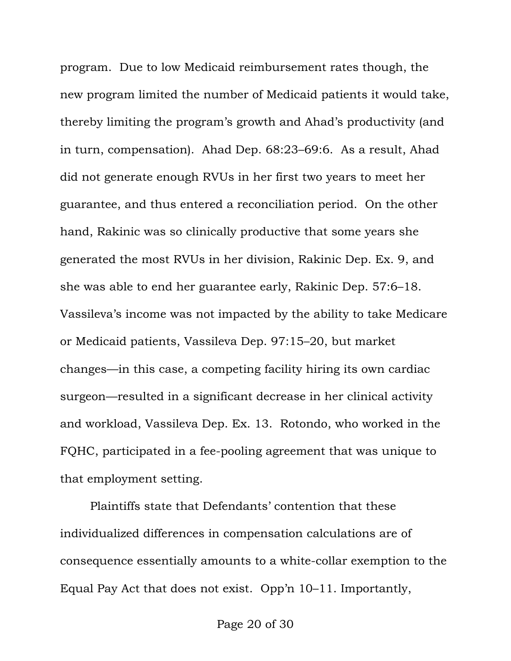program. Due to low Medicaid reimbursement rates though, the new program limited the number of Medicaid patients it would take, thereby limiting the program's growth and Ahad's productivity (and in turn, compensation). Ahad Dep. 68:23–69:6. As a result, Ahad did not generate enough RVUs in her first two years to meet her guarantee, and thus entered a reconciliation period. On the other hand, Rakinic was so clinically productive that some years she generated the most RVUs in her division, Rakinic Dep. Ex. 9, and she was able to end her guarantee early, Rakinic Dep. 57:6–18. Vassileva's income was not impacted by the ability to take Medicare or Medicaid patients, Vassileva Dep. 97:15–20, but market changes—in this case, a competing facility hiring its own cardiac surgeon—resulted in a significant decrease in her clinical activity and workload, Vassileva Dep. Ex. 13. Rotondo, who worked in the FQHC, participated in a fee-pooling agreement that was unique to that employment setting.

Plaintiffs state that Defendants' contention that these individualized differences in compensation calculations are of consequence essentially amounts to a white-collar exemption to the Equal Pay Act that does not exist. Opp'n 10–11. Importantly,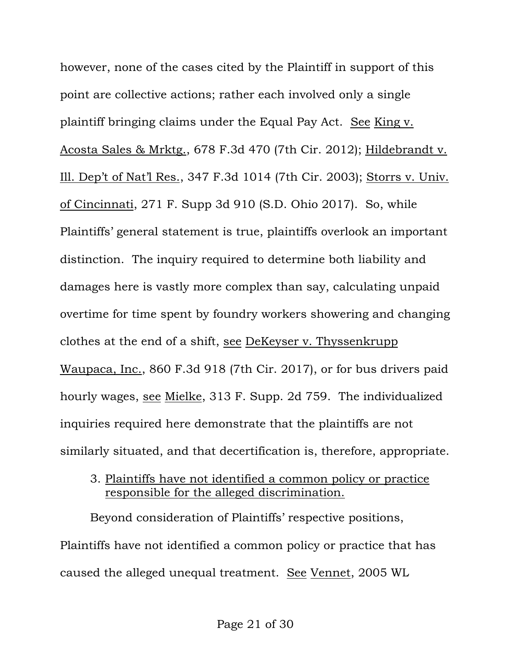however, none of the cases cited by the Plaintiff in support of this point are collective actions; rather each involved only a single plaintiff bringing claims under the Equal Pay Act. See King v. Acosta Sales & Mrktg., 678 F.3d 470 (7th Cir. 2012); Hildebrandt v. Ill. Dep't of Nat'l Res., 347 F.3d 1014 (7th Cir. 2003); Storrs v. Univ. of Cincinnati, 271 F. Supp 3d 910 (S.D. Ohio 2017). So, while Plaintiffs' general statement is true, plaintiffs overlook an important distinction. The inquiry required to determine both liability and damages here is vastly more complex than say, calculating unpaid overtime for time spent by foundry workers showering and changing clothes at the end of a shift, see DeKeyser v. Thyssenkrupp Waupaca, Inc., 860 F.3d 918 (7th Cir. 2017), or for bus drivers paid hourly wages, see Mielke, 313 F. Supp. 2d 759. The individualized inquiries required here demonstrate that the plaintiffs are not similarly situated, and that decertification is, therefore, appropriate.

3. Plaintiffs have not identified a common policy or practice responsible for the alleged discrimination.

Beyond consideration of Plaintiffs' respective positions, Plaintiffs have not identified a common policy or practice that has caused the alleged unequal treatment. See Vennet, 2005 WL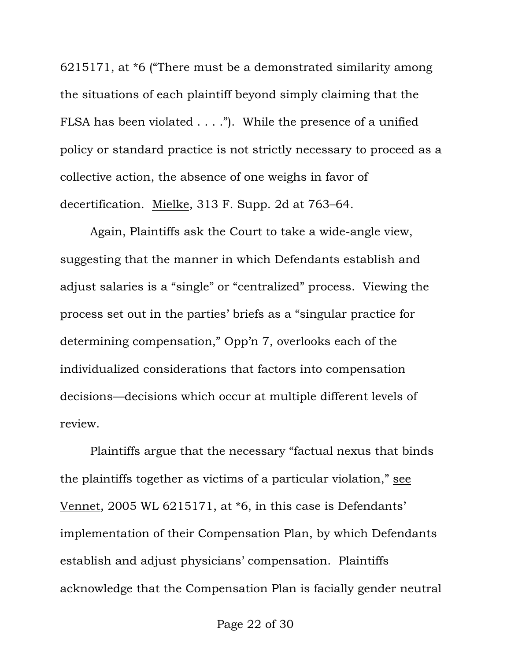6215171, at \*6 ("There must be a demonstrated similarity among the situations of each plaintiff beyond simply claiming that the FLSA has been violated . . . ."). While the presence of a unified policy or standard practice is not strictly necessary to proceed as a collective action, the absence of one weighs in favor of decertification. Mielke, 313 F. Supp. 2d at 763–64.

Again, Plaintiffs ask the Court to take a wide-angle view, suggesting that the manner in which Defendants establish and adjust salaries is a "single" or "centralized" process. Viewing the process set out in the parties' briefs as a "singular practice for determining compensation," Opp'n 7, overlooks each of the individualized considerations that factors into compensation decisions—decisions which occur at multiple different levels of review.

Plaintiffs argue that the necessary "factual nexus that binds the plaintiffs together as victims of a particular violation," see Vennet, 2005 WL 6215171, at \*6, in this case is Defendants' implementation of their Compensation Plan, by which Defendants establish and adjust physicians' compensation. Plaintiffs acknowledge that the Compensation Plan is facially gender neutral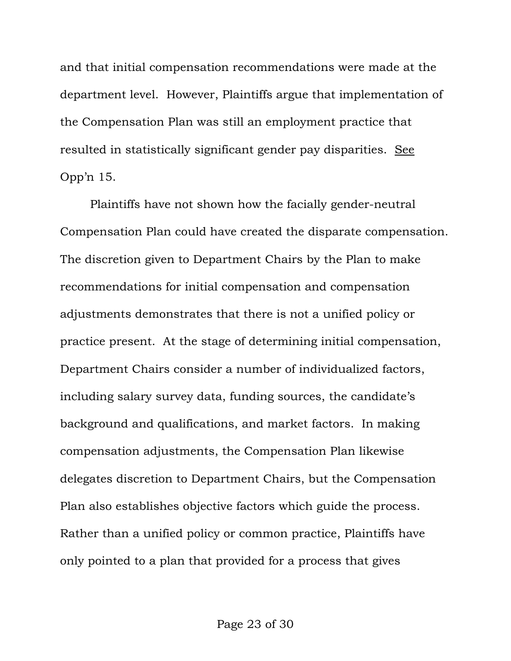and that initial compensation recommendations were made at the department level. However, Plaintiffs argue that implementation of the Compensation Plan was still an employment practice that resulted in statistically significant gender pay disparities. See Opp'n 15.

 Plaintiffs have not shown how the facially gender-neutral Compensation Plan could have created the disparate compensation. The discretion given to Department Chairs by the Plan to make recommendations for initial compensation and compensation adjustments demonstrates that there is not a unified policy or practice present. At the stage of determining initial compensation, Department Chairs consider a number of individualized factors, including salary survey data, funding sources, the candidate's background and qualifications, and market factors. In making compensation adjustments, the Compensation Plan likewise delegates discretion to Department Chairs, but the Compensation Plan also establishes objective factors which guide the process. Rather than a unified policy or common practice, Plaintiffs have only pointed to a plan that provided for a process that gives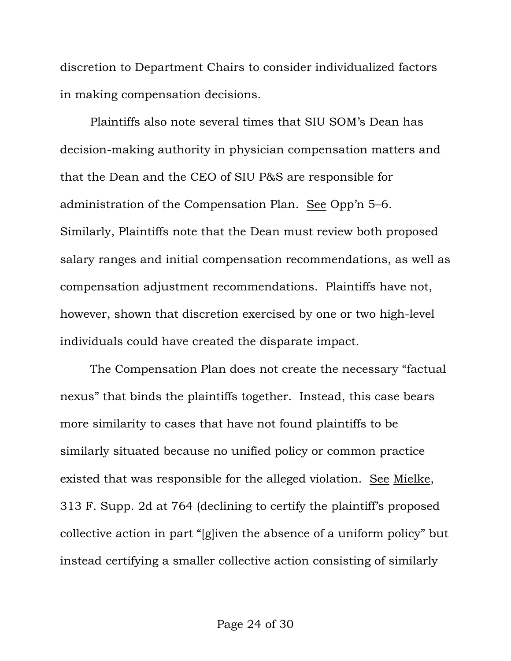discretion to Department Chairs to consider individualized factors in making compensation decisions.

 Plaintiffs also note several times that SIU SOM's Dean has decision-making authority in physician compensation matters and that the Dean and the CEO of SIU P&S are responsible for administration of the Compensation Plan. See Opp'n 5–6. Similarly, Plaintiffs note that the Dean must review both proposed salary ranges and initial compensation recommendations, as well as compensation adjustment recommendations. Plaintiffs have not, however, shown that discretion exercised by one or two high-level individuals could have created the disparate impact.

The Compensation Plan does not create the necessary "factual nexus" that binds the plaintiffs together. Instead, this case bears more similarity to cases that have not found plaintiffs to be similarly situated because no unified policy or common practice existed that was responsible for the alleged violation. See Mielke, 313 F. Supp. 2d at 764 (declining to certify the plaintiff's proposed collective action in part "[g]iven the absence of a uniform policy" but instead certifying a smaller collective action consisting of similarly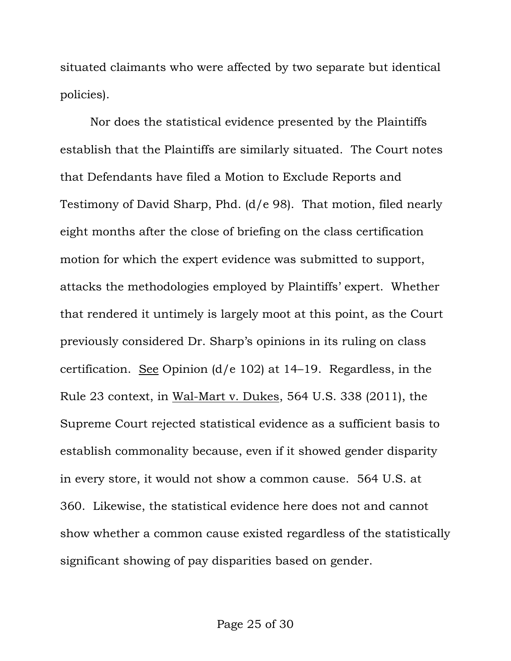situated claimants who were affected by two separate but identical policies).

Nor does the statistical evidence presented by the Plaintiffs establish that the Plaintiffs are similarly situated. The Court notes that Defendants have filed a Motion to Exclude Reports and Testimony of David Sharp, Phd. (d/e 98). That motion, filed nearly eight months after the close of briefing on the class certification motion for which the expert evidence was submitted to support, attacks the methodologies employed by Plaintiffs' expert. Whether that rendered it untimely is largely moot at this point, as the Court previously considered Dr. Sharp's opinions in its ruling on class certification. See Opinion (d/e 102) at 14–19. Regardless, in the Rule 23 context, in Wal-Mart v. Dukes, 564 U.S. 338 (2011), the Supreme Court rejected statistical evidence as a sufficient basis to establish commonality because, even if it showed gender disparity in every store, it would not show a common cause. 564 U.S. at 360. Likewise, the statistical evidence here does not and cannot show whether a common cause existed regardless of the statistically significant showing of pay disparities based on gender.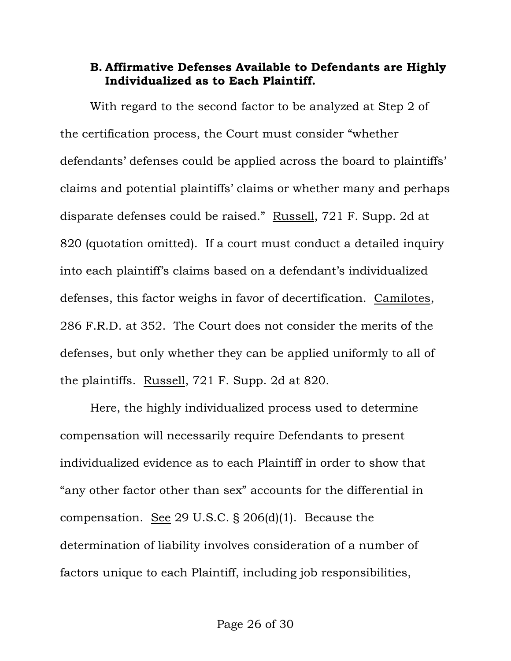## **B. Affirmative Defenses Available to Defendants are Highly Individualized as to Each Plaintiff.**

With regard to the second factor to be analyzed at Step 2 of the certification process, the Court must consider "whether defendants' defenses could be applied across the board to plaintiffs' claims and potential plaintiffs' claims or whether many and perhaps disparate defenses could be raised." Russell, 721 F. Supp. 2d at 820 (quotation omitted). If a court must conduct a detailed inquiry into each plaintiff's claims based on a defendant's individualized defenses, this factor weighs in favor of decertification. Camilotes, 286 F.R.D. at 352. The Court does not consider the merits of the defenses, but only whether they can be applied uniformly to all of the plaintiffs. Russell, 721 F. Supp. 2d at 820.

Here, the highly individualized process used to determine compensation will necessarily require Defendants to present individualized evidence as to each Plaintiff in order to show that "any other factor other than sex" accounts for the differential in compensation. <u>See</u> 29 U.S.C.  $\S 206(d)(1)$ . Because the determination of liability involves consideration of a number of factors unique to each Plaintiff, including job responsibilities,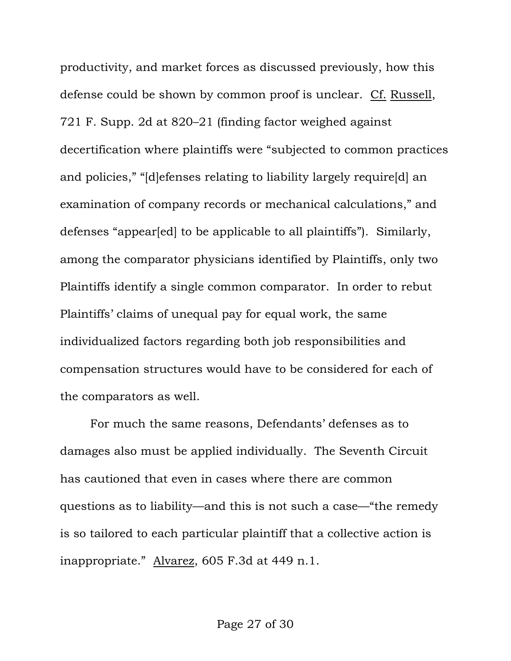productivity, and market forces as discussed previously, how this defense could be shown by common proof is unclear. Cf. Russell, 721 F. Supp. 2d at 820–21 (finding factor weighed against decertification where plaintiffs were "subjected to common practices and policies," "[d]efenses relating to liability largely require[d] an examination of company records or mechanical calculations," and defenses "appear[ed] to be applicable to all plaintiffs"). Similarly, among the comparator physicians identified by Plaintiffs, only two Plaintiffs identify a single common comparator. In order to rebut Plaintiffs' claims of unequal pay for equal work, the same individualized factors regarding both job responsibilities and compensation structures would have to be considered for each of the comparators as well.

For much the same reasons, Defendants' defenses as to damages also must be applied individually. The Seventh Circuit has cautioned that even in cases where there are common questions as to liability—and this is not such a case—"the remedy is so tailored to each particular plaintiff that a collective action is inappropriate." Alvarez, 605 F.3d at 449 n.1.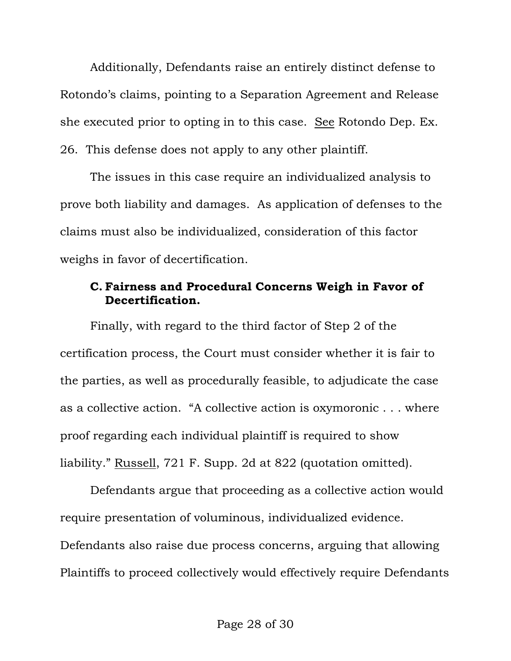Additionally, Defendants raise an entirely distinct defense to Rotondo's claims, pointing to a Separation Agreement and Release she executed prior to opting in to this case. See Rotondo Dep. Ex. 26. This defense does not apply to any other plaintiff.

The issues in this case require an individualized analysis to prove both liability and damages. As application of defenses to the claims must also be individualized, consideration of this factor weighs in favor of decertification.

## **C. Fairness and Procedural Concerns Weigh in Favor of Decertification.**

Finally, with regard to the third factor of Step 2 of the certification process, the Court must consider whether it is fair to the parties, as well as procedurally feasible, to adjudicate the case as a collective action. "A collective action is oxymoronic . . . where proof regarding each individual plaintiff is required to show liability." Russell, 721 F. Supp. 2d at 822 (quotation omitted).

Defendants argue that proceeding as a collective action would require presentation of voluminous, individualized evidence. Defendants also raise due process concerns, arguing that allowing Plaintiffs to proceed collectively would effectively require Defendants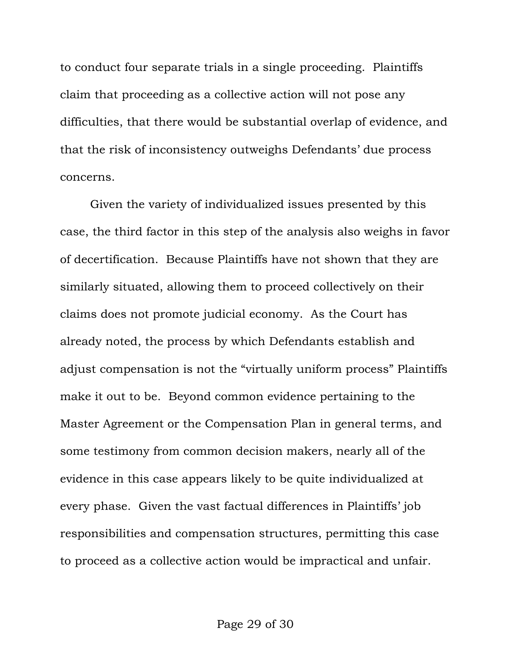to conduct four separate trials in a single proceeding. Plaintiffs claim that proceeding as a collective action will not pose any difficulties, that there would be substantial overlap of evidence, and that the risk of inconsistency outweighs Defendants' due process concerns.

Given the variety of individualized issues presented by this case, the third factor in this step of the analysis also weighs in favor of decertification. Because Plaintiffs have not shown that they are similarly situated, allowing them to proceed collectively on their claims does not promote judicial economy. As the Court has already noted, the process by which Defendants establish and adjust compensation is not the "virtually uniform process" Plaintiffs make it out to be. Beyond common evidence pertaining to the Master Agreement or the Compensation Plan in general terms, and some testimony from common decision makers, nearly all of the evidence in this case appears likely to be quite individualized at every phase. Given the vast factual differences in Plaintiffs' job responsibilities and compensation structures, permitting this case to proceed as a collective action would be impractical and unfair.